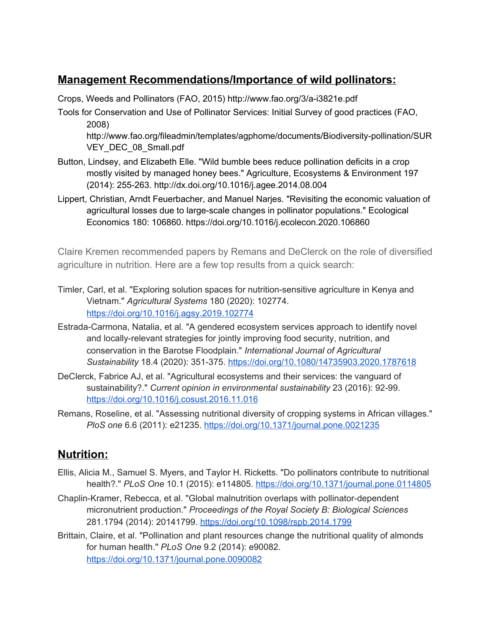## **Management Recommendations/Importance of wild pollinators:**

Crops, Weeds and Pollinators (FAO, 2015) <http://www.fao.org/3/a-i3821e.pdf>

Tools for Conservation and Use of Pollinator Services: Initial Survey of good practices (FAO, 2008)

[http://www.fao.org/fileadmin/templates/agphome/documents/Biodiversity-pollination/SUR](http://www.fao.org/fileadmin/templates/agphome/documents/Biodiversity-pollination/SURVEY_DEC_08_Small.pdf) [VEY\\_DEC\\_08\\_Small.pdf](http://www.fao.org/fileadmin/templates/agphome/documents/Biodiversity-pollination/SURVEY_DEC_08_Small.pdf)

- Button, Lindsey, and Elizabeth Elle. "Wild bumble bees reduce pollination deficits in a crop mostly visited by managed honey bees." Agriculture, Ecosystems & Environment 197 (2014): 255-263. <http://dx.doi.org/10.1016/j.agee.2014.08.004>
- Lippert, Christian, Arndt Feuerbacher, and Manuel Narjes. "Revisiting the economic valuation of agricultural losses due to large-scale changes in pollinator populations." Ecological Economics 180: 106860. <https://doi.org/10.1016/j.ecolecon.2020.106860>

Claire Kremen recommended papers by Remans and DeClerck on the role of diversified agriculture in nutrition. Here are a few top results from a quick search:

- Timler, Carl, et al. "Exploring solution spaces for nutrition-sensitive agriculture in Kenya and Vietnam." *Agricultural Systems* 180 (2020): 102774. <https://doi.org/10.1016/j.agsy.2019.102774>
- Estrada-Carmona, Natalia, et al. "A gendered ecosystem services approach to identify novel and locally-relevant strategies for jointly improving food security, nutrition, and conservation in the Barotse Floodplain." *International Journal of Agricultural Sustainability* 18.4 (2020): 351-375. <https://doi.org/10.1080/14735903.2020.1787618>
- DeClerck, Fabrice AJ, et al. "Agricultural ecosystems and their services: the vanguard of sustainability?." *Current opinion in environmental sustainability* 23 (2016): 92-99. <https://doi.org/10.1016/j.cosust.2016.11.016>
- Remans, Roseline, et al. "Assessing nutritional diversity of cropping systems in African villages." *PloS one* 6.6 (2011): e21235. <https://doi.org/10.1371/journal.pone.0021235>

## **Nutrition:**

- Ellis, Alicia M., Samuel S. Myers, and Taylor H. Ricketts. "Do pollinators contribute to nutritional health?." *PLoS One* 10.1 (2015): e114805. <https://doi.org/10.1371/journal.pone.0114805>
- Chaplin-Kramer, Rebecca, et al. "Global malnutrition overlaps with pollinator-dependent micronutrient production." *Proceedings of the Royal Society B: Biological Sciences* 281.1794 (2014): 20141799. <https://doi.org/10.1098/rspb.2014.1799>
- Brittain, Claire, et al. "Pollination and plant resources change the nutritional quality of almonds for human health." *PLoS One* 9.2 (2014): e90082. <https://doi.org/10.1371/journal.pone.0090082>